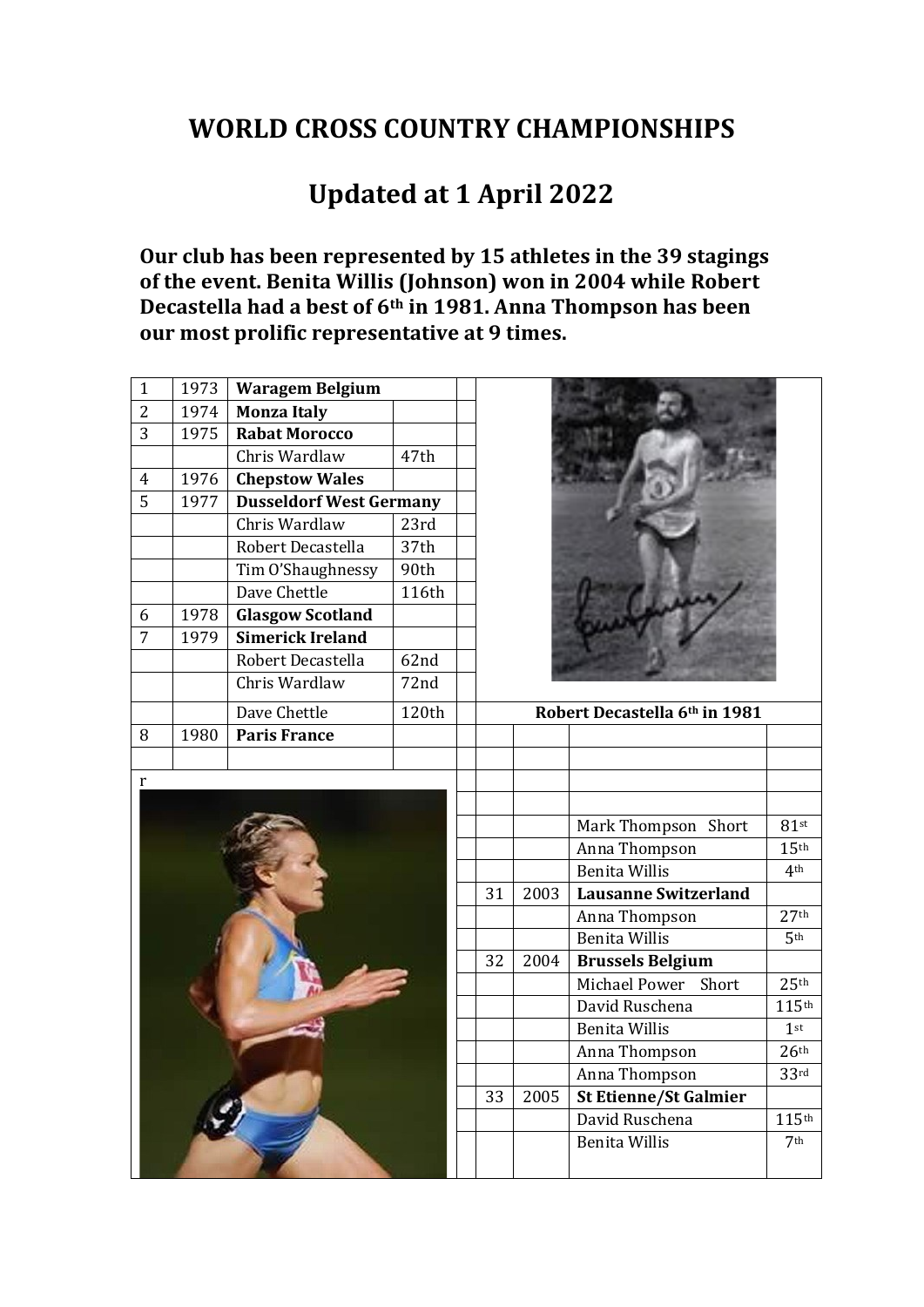## **WORLD CROSS COUNTRY CHAMPIONSHIPS**

## **Updated at 1 April 2022**

**Our club has been represented by 15 athletes in the 39 stagings of the event. Benita Willis (Johnson) won in 2004 while Robert Decastella had a best of 6th in 1981. Anna Thompson has been our most prolific representative at 9 times.** 

| $\mathbf{1}$   | 1973<br><b>Waragem Belgium</b> |                                |       |  |    |      |                               |                     |
|----------------|--------------------------------|--------------------------------|-------|--|----|------|-------------------------------|---------------------|
| $\overline{2}$ | 1974                           | <b>Monza Italy</b>             |       |  |    |      |                               |                     |
| 3              | 1975                           | <b>Rabat Morocco</b>           |       |  |    |      |                               |                     |
|                |                                | Chris Wardlaw                  | 47th  |  |    |      |                               |                     |
| $\overline{4}$ | 1976                           | <b>Chepstow Wales</b>          |       |  |    |      |                               |                     |
| 5              | 1977                           | <b>Dusseldorf West Germany</b> |       |  |    |      |                               |                     |
|                |                                | Chris Wardlaw                  | 23rd  |  |    |      |                               |                     |
|                |                                | Robert Decastella              | 37th  |  |    |      |                               |                     |
|                |                                | Tim O'Shaughnessy              | 90th  |  |    |      |                               |                     |
|                |                                | Dave Chettle                   | 116th |  |    |      |                               |                     |
| 6              | 1978                           | <b>Glasgow Scotland</b>        |       |  |    |      |                               |                     |
| 7              | 1979                           | Simerick Ireland               |       |  |    |      |                               |                     |
|                |                                | Robert Decastella              | 62nd  |  |    |      |                               |                     |
|                |                                | Chris Wardlaw                  | 72nd  |  |    |      |                               |                     |
|                |                                | Dave Chettle                   | 120th |  |    |      | Robert Decastella 6th in 1981 |                     |
| 8              | 1980                           | <b>Paris France</b>            |       |  |    |      |                               |                     |
|                |                                |                                |       |  |    |      |                               |                     |
| $\mathbf r$    |                                |                                |       |  |    |      |                               |                     |
|                |                                |                                |       |  |    |      |                               |                     |
|                |                                |                                |       |  |    |      | Mark Thompson Short           | $81$ st             |
|                |                                |                                |       |  |    |      | Anna Thompson                 | 15 <sup>th</sup>    |
|                |                                |                                |       |  |    |      | <b>Benita Willis</b>          | 4 <sup>th</sup>     |
|                |                                |                                |       |  | 31 | 2003 | <b>Lausanne Switzerland</b>   |                     |
|                |                                |                                |       |  |    |      | Anna Thompson                 | 27 <sup>th</sup>    |
|                |                                |                                |       |  |    |      | <b>Benita Willis</b>          | 5 <sup>th</sup>     |
|                |                                |                                |       |  | 32 | 2004 | <b>Brussels Belgium</b>       |                     |
|                |                                |                                |       |  |    |      | Michael Power<br>Short        | 25 <sup>th</sup>    |
|                |                                |                                |       |  |    |      | David Ruschena                | $115$ <sup>th</sup> |
|                |                                |                                |       |  |    |      | <b>Benita Willis</b>          | $1$ st              |
|                |                                |                                |       |  |    |      | Anna Thompson                 | 26 <sup>th</sup>    |
|                |                                |                                |       |  |    |      | Anna Thompson                 | 33 <sup>rd</sup>    |
|                |                                |                                |       |  | 33 | 2005 | <b>St Etienne/St Galmier</b>  |                     |
|                |                                |                                |       |  |    |      | David Ruschena                | 115th               |
|                |                                |                                |       |  |    |      | <b>Benita Willis</b>          | 7 <sup>th</sup>     |
|                |                                |                                |       |  |    |      |                               |                     |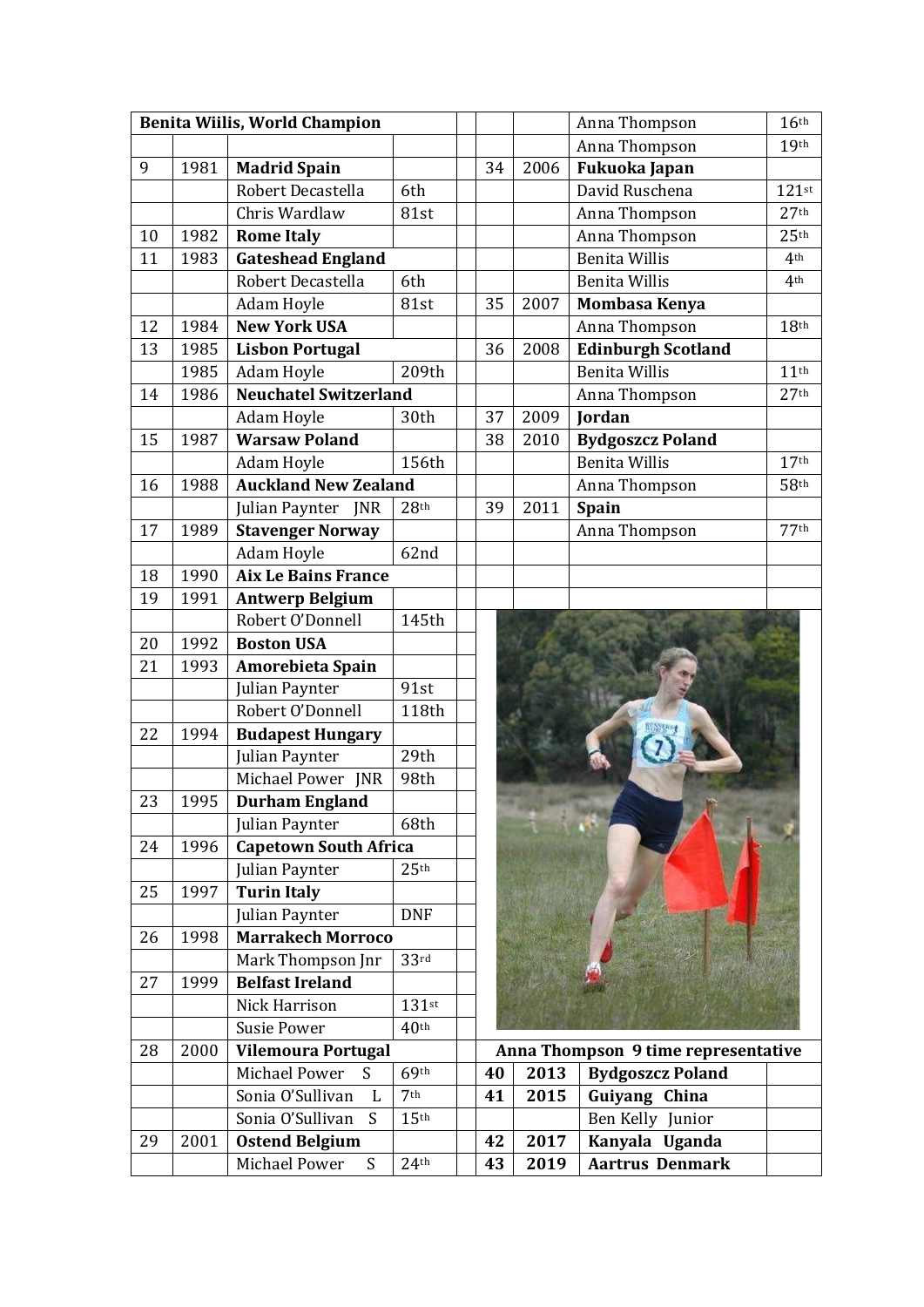| Benita Wiilis, World Champion |      |                                  |                  |  |    |      | Anna Thompson                       | 16 <sup>th</sup> |
|-------------------------------|------|----------------------------------|------------------|--|----|------|-------------------------------------|------------------|
|                               |      |                                  |                  |  |    |      | Anna Thompson                       | 19 <sup>th</sup> |
| 9                             | 1981 | <b>Madrid Spain</b>              |                  |  | 34 | 2006 | Fukuoka Japan                       |                  |
|                               |      | Robert Decastella                | 6th              |  |    |      | David Ruschena                      | $121$ st         |
|                               |      | Chris Wardlaw                    | 81st             |  |    |      | Anna Thompson                       | 27 <sup>th</sup> |
| 10                            | 1982 | <b>Rome Italy</b>                |                  |  |    |      | Anna Thompson                       | 25 <sup>th</sup> |
| 11                            | 1983 | <b>Gateshead England</b>         |                  |  |    |      | <b>Benita Willis</b>                | 4 <sup>th</sup>  |
|                               |      | Robert Decastella                | 6th              |  |    |      | <b>Benita Willis</b>                | 4 <sup>th</sup>  |
|                               |      | Adam Hoyle                       | 81st             |  | 35 | 2007 | Mombasa Kenya                       |                  |
| 12                            | 1984 | <b>New York USA</b>              |                  |  |    |      | Anna Thompson                       | 18 <sup>th</sup> |
| 13                            | 1985 | <b>Lisbon Portugal</b>           |                  |  | 36 | 2008 | <b>Edinburgh Scotland</b>           |                  |
|                               | 1985 | Adam Hoyle                       | 209th            |  |    |      | <b>Benita Willis</b>                | 11 <sup>th</sup> |
| 14                            | 1986 | <b>Neuchatel Switzerland</b>     |                  |  |    |      | Anna Thompson                       | 27 <sup>th</sup> |
|                               |      | Adam Hoyle                       | 30th             |  | 37 | 2009 | <b>Jordan</b>                       |                  |
| 15                            | 1987 | <b>Warsaw Poland</b>             |                  |  | 38 | 2010 | <b>Bydgoszcz Poland</b>             |                  |
|                               |      | Adam Hoyle                       | 156th            |  |    |      | <b>Benita Willis</b>                | 17 <sup>th</sup> |
| 16                            | 1988 | <b>Auckland New Zealand</b>      |                  |  |    |      | Anna Thompson                       | 58 <sup>th</sup> |
|                               |      | Julian Paynter<br><b>INR</b>     | 28 <sup>th</sup> |  | 39 | 2011 | Spain                               |                  |
| 17                            | 1989 | <b>Stavenger Norway</b>          |                  |  |    |      | Anna Thompson                       | 77th             |
|                               |      | Adam Hoyle                       | 62nd             |  |    |      |                                     |                  |
| 18                            | 1990 | <b>Aix Le Bains France</b>       |                  |  |    |      |                                     |                  |
| 19                            | 1991 | <b>Antwerp Belgium</b>           |                  |  |    |      |                                     |                  |
|                               |      | Robert O'Donnell                 | 145th            |  |    |      |                                     |                  |
| 20                            | 1992 | <b>Boston USA</b>                |                  |  |    |      |                                     |                  |
| 21                            | 1993 | Amorebieta Spain                 |                  |  |    |      |                                     |                  |
|                               |      | Julian Paynter                   | 91st             |  |    |      |                                     |                  |
|                               |      | Robert O'Donnell                 | 118th            |  |    |      |                                     |                  |
| 22                            | 1994 | <b>Budapest Hungary</b>          |                  |  |    |      |                                     |                  |
|                               |      | Julian Paynter                   | 29th             |  |    |      |                                     |                  |
|                               |      | Michael Power JNR                | 98th             |  |    |      |                                     |                  |
| 23                            | 1995 | <b>Durham England</b>            |                  |  |    |      |                                     |                  |
|                               |      | Julian Paynter                   | 68th             |  |    |      |                                     |                  |
| 24                            | 1996 | <b>Capetown South Africa</b>     |                  |  |    |      |                                     |                  |
|                               |      | Julian Paynter                   | 25 <sup>th</sup> |  |    |      |                                     |                  |
| 25                            | 1997 | <b>Turin Italy</b>               |                  |  |    |      |                                     |                  |
|                               |      | Julian Paynter                   | <b>DNF</b>       |  |    |      |                                     |                  |
| 26                            | 1998 | <b>Marrakech Morroco</b>         |                  |  |    |      |                                     |                  |
|                               |      | Mark Thompson Jnr                | 33 <sup>rd</sup> |  |    |      |                                     |                  |
| 27                            | 1999 | <b>Belfast Ireland</b>           |                  |  |    |      |                                     |                  |
|                               |      | Nick Harrison                    | $131$ st         |  |    |      |                                     |                  |
|                               |      | <b>Susie Power</b>               | 40 <sup>th</sup> |  |    |      |                                     |                  |
| 28                            | 2000 | <b>Vilemoura Portugal</b>        |                  |  |    |      | Anna Thompson 9 time representative |                  |
|                               |      | <b>Michael Power</b><br>S        | 69 <sup>th</sup> |  | 40 | 2013 | <b>Bydgoszcz Poland</b>             |                  |
|                               |      | Sonia O'Sullivan<br>$\mathbf{L}$ | 7 <sup>th</sup>  |  | 41 | 2015 | Guiyang China                       |                  |
|                               |      | Sonia O'Sullivan<br>S            | 15 <sup>th</sup> |  |    |      | Ben Kelly Junior                    |                  |
| 29                            | 2001 | <b>Ostend Belgium</b>            |                  |  | 42 | 2017 | Kanyala Uganda                      |                  |
|                               |      | <b>Michael Power</b><br>S        | 24 <sup>th</sup> |  | 43 | 2019 | <b>Aartrus Denmark</b>              |                  |